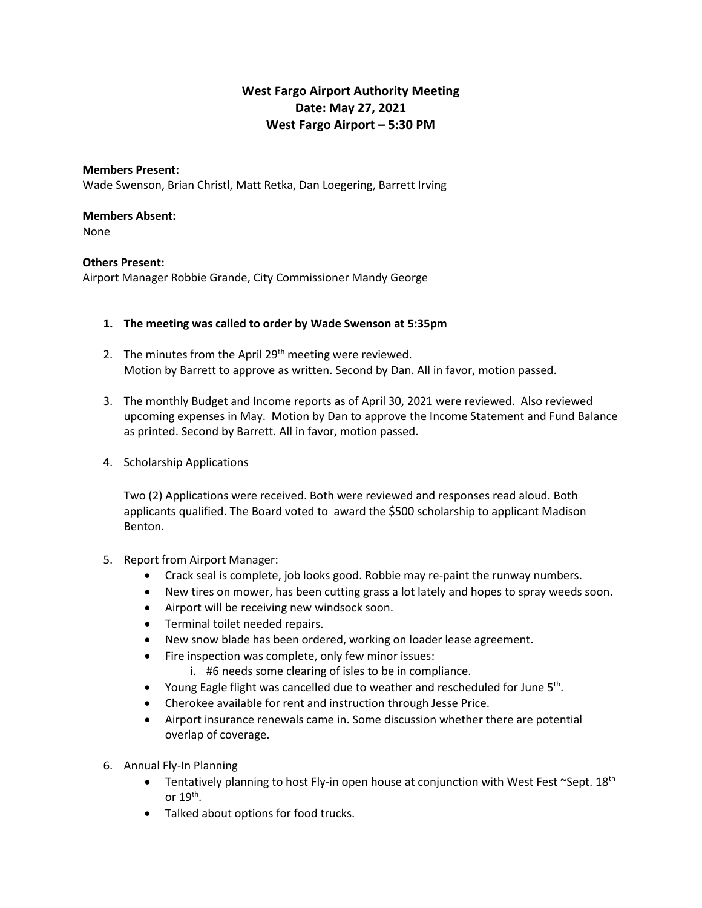# **West Fargo Airport Authority Meeting Date: May 27, 2021 West Fargo Airport – 5:30 PM**

## **Members Present:** Wade Swenson, Brian Christl, Matt Retka, Dan Loegering, Barrett Irving

## **Members Absent:**

None

#### **Others Present:**

Airport Manager Robbie Grande, City Commissioner Mandy George

#### **1. The meeting was called to order by Wade Swenson at 5:35pm**

- 2. The minutes from the April  $29<sup>th</sup>$  meeting were reviewed. Motion by Barrett to approve as written. Second by Dan. All in favor, motion passed.
- 3. The monthly Budget and Income reports as of April 30, 2021 were reviewed. Also reviewed upcoming expenses in May. Motion by Dan to approve the Income Statement and Fund Balance as printed. Second by Barrett. All in favor, motion passed.
- 4. Scholarship Applications

Two (2) Applications were received. Both were reviewed and responses read aloud. Both applicants qualified. The Board voted to award the \$500 scholarship to applicant Madison Benton.

- 5. Report from Airport Manager:
	- Crack seal is complete, job looks good. Robbie may re-paint the runway numbers.
	- New tires on mower, has been cutting grass a lot lately and hopes to spray weeds soon.
	- Airport will be receiving new windsock soon.
	- Terminal toilet needed repairs.
	- New snow blade has been ordered, working on loader lease agreement.
	- Fire inspection was complete, only few minor issues:
		- i. #6 needs some clearing of isles to be in compliance.
	- Young Eagle flight was cancelled due to weather and rescheduled for June 5<sup>th</sup>.
	- Cherokee available for rent and instruction through Jesse Price.
	- Airport insurance renewals came in. Some discussion whether there are potential overlap of coverage.
- 6. Annual Fly-In Planning
	- Tentatively planning to host Fly-in open house at conjunction with West Fest  $\sim$ Sept. 18<sup>th</sup> or 19 $^{\text{th}}$ .
	- Talked about options for food trucks.